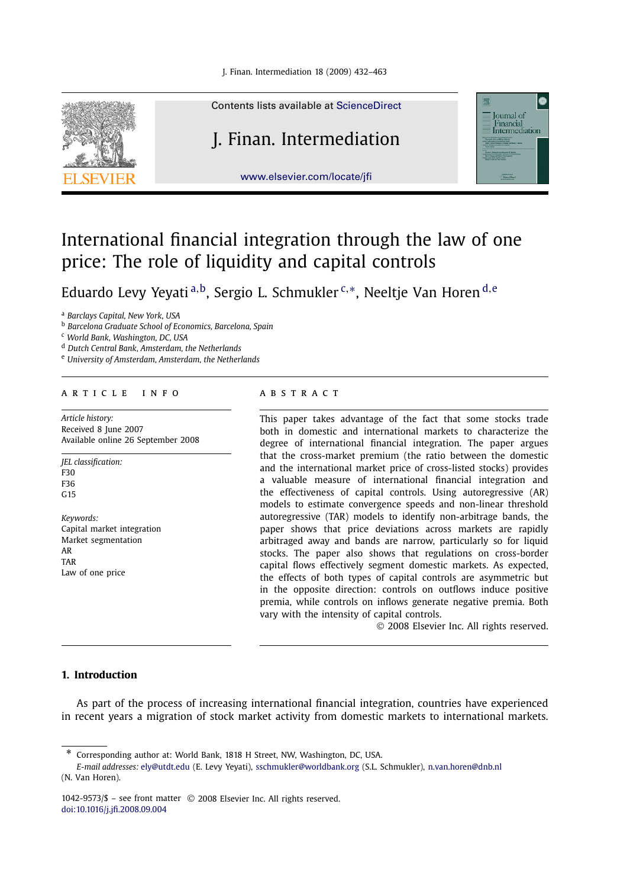

Contents lists available at [ScienceDirect](http://www.ScienceDirect.com/)

## J. Finan. Intermediation

[www.elsevier.com/locate/jfi](http://www.elsevier.com/locate/jfi)



# International financial integration through the law of one price: The role of liquidity and capital controls

Eduardo Levy Yeyati <sup>a</sup>*,*b, Sergio L. Schmukler <sup>c</sup>*,*∗, Neeltje Van Horen <sup>d</sup>*,*<sup>e</sup>

<sup>a</sup> *Barclays Capital, New York, USA*

<sup>b</sup> *Barcelona Graduate School of Economics, Barcelona, Spain*

<sup>c</sup> *World Bank, Washington, DC, USA*

<sup>d</sup> *Dutch Central Bank, Amsterdam, the Netherlands*

<sup>e</sup> *University of Amsterdam, Amsterdam, the Netherlands*

## article info abstract

*Article history:* Received 8 June 2007 Available online 26 September 2008

*JEL classification:* F30 F36  $C<sub>15</sub>$ 

*Keywords:* Capital market integration Market segmentation AR TAR Law of one price

This paper takes advantage of the fact that some stocks trade both in domestic and international markets to characterize the degree of international financial integration. The paper argues that the cross-market premium (the ratio between the domestic and the international market price of cross-listed stocks) provides a valuable measure of international financial integration and the effectiveness of capital controls. Using autoregressive (AR) models to estimate convergence speeds and non-linear threshold autoregressive (TAR) models to identify non-arbitrage bands, the paper shows that price deviations across markets are rapidly arbitraged away and bands are narrow, particularly so for liquid stocks. The paper also shows that regulations on cross-border capital flows effectively segment domestic markets. As expected, the effects of both types of capital controls are asymmetric but in the opposite direction: controls on outflows induce positive premia, while controls on inflows generate negative premia. Both vary with the intensity of capital controls.

© 2008 Elsevier Inc. All rights reserved.

### **1. Introduction**

As part of the process of increasing international financial integration, countries have experienced in recent years a migration of stock market activity from domestic markets to international markets.

<sup>\*</sup> Corresponding author at: World Bank, 1818 H Street, NW, Washington, DC, USA.

*E-mail addresses:* [ely@utdt.edu](mailto:ely@utdt.edu) (E. Levy Yeyati), [sschmukler@worldbank.org](mailto:sschmukler@worldbank.org) (S.L. Schmukler), [n.van.horen@dnb.nl](mailto:n.van.horen@dnb.nl) (N. Van Horen).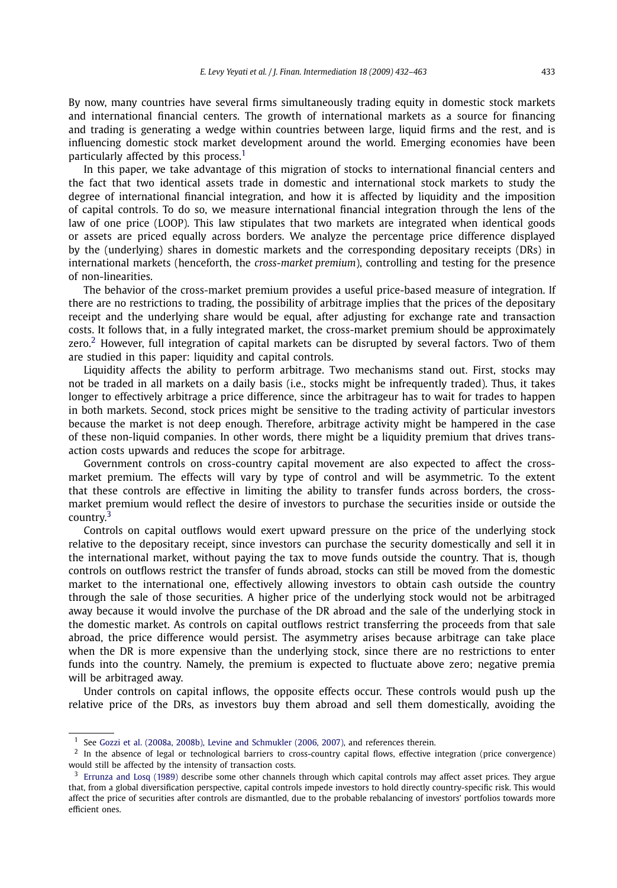By now, many countries have several firms simultaneously trading equity in domestic stock markets and international financial centers. The growth of international markets as a source for financing and trading is generating a wedge within countries between large, liquid firms and the rest, and is influencing domestic stock market development around the world. Emerging economies have been particularly affected by this process.<sup>1</sup>

In this paper, we take advantage of this migration of stocks to international financial centers and the fact that two identical assets trade in domestic and international stock markets to study the degree of international financial integration, and how it is affected by liquidity and the imposition of capital controls. To do so, we measure international financial integration through the lens of the law of one price (LOOP). This law stipulates that two markets are integrated when identical goods or assets are priced equally across borders. We analyze the percentage price difference displayed by the (underlying) shares in domestic markets and the corresponding depositary receipts (DRs) in international markets (henceforth, the *cross-market premium*), controlling and testing for the presence of non-linearities.

The behavior of the cross-market premium provides a useful price-based measure of integration. If there are no restrictions to trading, the possibility of arbitrage implies that the prices of the depositary receipt and the underlying share would be equal, after adjusting for exchange rate and transaction costs. It follows that, in a fully integrated market, the cross-market premium should be approximately zero.<sup>2</sup> However, full integration of capital markets can be disrupted by several factors. Two of them are studied in this paper: liquidity and capital controls.

Liquidity affects the ability to perform arbitrage. Two mechanisms stand out. First, stocks may not be traded in all markets on a daily basis (i.e., stocks might be infrequently traded). Thus, it takes longer to effectively arbitrage a price difference, since the arbitrageur has to wait for trades to happen in both markets. Second, stock prices might be sensitive to the trading activity of particular investors because the market is not deep enough. Therefore, arbitrage activity might be hampered in the case of these non-liquid companies. In other words, there might be a liquidity premium that drives transaction costs upwards and reduces the scope for arbitrage.

Government controls on cross-country capital movement are also expected to affect the crossmarket premium. The effects will vary by type of control and will be asymmetric. To the extent that these controls are effective in limiting the ability to transfer funds across borders, the crossmarket premium would reflect the desire of investors to purchase the securities inside or outside the country.<sup>3</sup>

Controls on capital outflows would exert upward pressure on the price of the underlying stock relative to the depositary receipt, since investors can purchase the security domestically and sell it in the international market, without paying the tax to move funds outside the country. That is, though controls on outflows restrict the transfer of funds abroad, stocks can still be moved from the domestic market to the international one, effectively allowing investors to obtain cash outside the country through the sale of those securities. A higher price of the underlying stock would not be arbitraged away because it would involve the purchase of the DR abroad and the sale of the underlying stock in the domestic market. As controls on capital outflows restrict transferring the proceeds from that sale abroad, the price difference would persist. The asymmetry arises because arbitrage can take place when the DR is more expensive than the underlying stock, since there are no restrictions to enter funds into the country. Namely, the premium is expected to fluctuate above zero; negative premia will be arbitraged away.

Under controls on capital inflows, the opposite effects occur. These controls would push up the relative price of the DRs, as investors buy them abroad and sell them domestically, avoiding the

<sup>1</sup> See [Gozzi et al. \(2008a, 2008b\), Levine and Schmukler \(2006, 2007\),](#page--1-0) and references therein.

 $2$  In the absence of legal or technological barriers to cross-country capital flows, effective integration (price convergence) would still be affected by the intensity of transaction costs.

 $3$  [Errunza and Losq \(1989\)](#page--1-0) describe some other channels through which capital controls may affect asset prices. They argue that, from a global diversification perspective, capital controls impede investors to hold directly country-specific risk. This would affect the price of securities after controls are dismantled, due to the probable rebalancing of investors' portfolios towards more efficient ones.